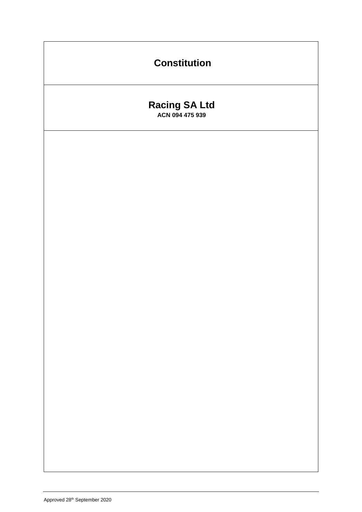# **Constitution**

# **Racing SA Ltd ACN 094 475 939**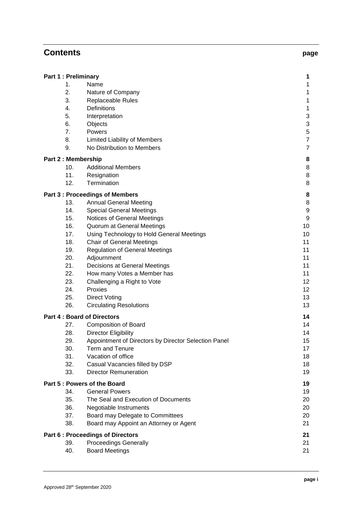# **Contents page**

| <b>Part 6: Proceedings of Directors</b>  |                                                                                                      | 21<br>21 |
|------------------------------------------|------------------------------------------------------------------------------------------------------|----------|
| 39.<br>40.                               | <b>Proceedings Generally</b><br><b>Board Meetings</b>                                                | 21       |
| 36.<br>37.<br>38.                        | Negotiable Instruments<br>Board may Delegate to Committees<br>Board may Appoint an Attorney or Agent |          |
| 34.<br>35.                               | <b>General Powers</b><br>The Seal and Execution of Documents                                         | 19<br>20 |
|                                          | Part 5 : Powers of the Board                                                                         | 19       |
| 33.                                      | <b>Director Remuneration</b>                                                                         | 19       |
| 31.<br>32.                               | Vacation of office<br>Casual Vacancies filled by DSP                                                 | 18<br>18 |
| 30.                                      | <b>Term and Tenure</b>                                                                               | 17       |
| 29.                                      | Appointment of Directors by Director Selection Panel                                                 | 15       |
| 28.                                      | <b>Composition of Board</b><br><b>Director Eligibility</b>                                           | 14       |
| <b>Part 4: Board of Directors</b><br>27. | 14<br>14                                                                                             |          |
| 26.                                      | <b>Circulating Resolutions</b>                                                                       | 13       |
| 25.                                      | <b>Direct Voting</b>                                                                                 | 13       |
| 24.                                      | Proxies                                                                                              | 12       |

**Part 1 : Preliminary 1**

**Part 2 : Membership 8**

**Part 3 : Proceedings of Members 8**

10. Additional Members 8 11. Resignation 8 12. Termination 8

13. Annual General Meeting 8 14. Special General Meetings **9** 15. Notices of General Meetings 9 16. Quorum at General Meetings 10 and 10 and 10 17. Using Technology to Hold General Meetings 10 18. Chair of General Meetings 11 and 200 and 200 and 200 and 200 and 200 and 200 and 200 and 200 and 200 and 200 and 200 and 200 and 200 and 200 and 200 and 200 and 200 and 200 and 200 and 200 and 200 and 200 and 200 and 2 19. Regulation of General Meetings 11 and 11 20. Adjournment 11 21. Decisions at General Meetings 11 and 20 and 21 and 21 22. How many Votes a Member has 11 23. Challenging a Right to Vote 12

1. Name 1 2. Nature of Company 1 3. Replaceable Rules 1 4. Definitions 1 5. Interpretation 3 6. Objects 3 7. Powers 5 8. Limited Liability of Members 7 9. No Distribution to Members 7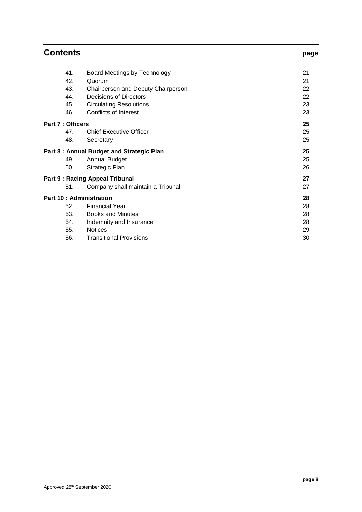| <b>Contents</b>                           | page                               |    |
|-------------------------------------------|------------------------------------|----|
| 41.                                       | Board Meetings by Technology       | 21 |
| 42.                                       | Quorum                             | 21 |
| 43.                                       | Chairperson and Deputy Chairperson | 22 |
| 44.                                       | Decisions of Directors             | 22 |
| 45.                                       | <b>Circulating Resolutions</b>     | 23 |
| 46.                                       | <b>Conflicts of Interest</b>       | 23 |
| <b>Part 7: Officers</b>                   |                                    | 25 |
| 47.                                       | <b>Chief Executive Officer</b>     | 25 |
| 48.                                       | Secretary                          | 25 |
| Part 8 : Annual Budget and Strategic Plan |                                    | 25 |
| 49.                                       | <b>Annual Budget</b>               | 25 |
| 50.                                       | Strategic Plan                     | 26 |
| <b>Part 9: Racing Appeal Tribunal</b>     | 27                                 |    |
| 51.                                       | Company shall maintain a Tribunal  | 27 |
| <b>Part 10: Administration</b>            |                                    | 28 |
| 52.                                       | <b>Financial Year</b>              | 28 |
| 53.                                       | <b>Books and Minutes</b>           | 28 |
| 54.                                       | Indemnity and Insurance            | 28 |
| 55.                                       | <b>Notices</b>                     | 29 |
| 56.                                       | <b>Transitional Provisions</b>     | 30 |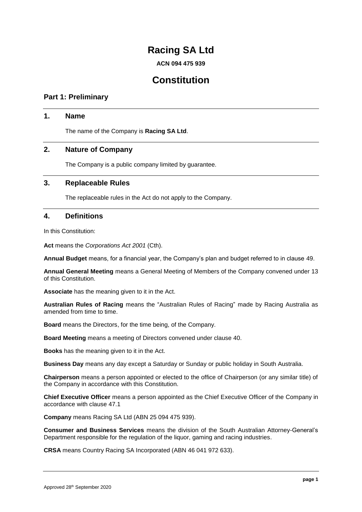# **Racing SA Ltd**

**ACN 094 475 939**

# **Constitution**

# **Part 1: Preliminary**

# **1. Name**

The name of the Company is **Racing SA Ltd**.

# **2. Nature of Company**

The Company is a public company limited by guarantee.

# **3. Replaceable Rules**

The replaceable rules in the Act do not apply to the Company.

# <span id="page-3-0"></span>**4. Definitions**

In this Constitution:

**Act** means the *Corporations Act 2001* (Cth).

**Annual Budget** means, for a financial year, the Company's plan and budget referred to in clause [49.](#page-27-0)

**Annual General Meeting** means a General Meeting of Members of the Company convened under [13](#page-10-0) of this Constitution.

**Associate** has the meaning given to it in the Act.

**Australian Rules of Racing** means the "Australian Rules of Racing" made by Racing Australia as amended from time to time.

**Board** means the Directors, for the time being, of the Company.

**Board Meeting** means a meeting of Directors convened under clause [40.](#page-23-0)

**Books** has the meaning given to it in the Act.

**Business Day** means any day except a Saturday or Sunday or public holiday in South Australia.

**Chairperson** means a person appointed or elected to the office of Chairperson (or any similar title) of the Company in accordance with this Constitution.

**Chief Executive Officer** means a person appointed as the Chief Executive Officer of the Company in accordance with clause [47.1](#page-27-1)

**Company** means Racing SA Ltd (ABN 25 094 475 939).

**Consumer and Business Services** means the division of the South Australian Attorney-General's Department responsible for the regulation of the liquor, gaming and racing industries.

**CRSA** means Country Racing SA Incorporated (ABN 46 041 972 633).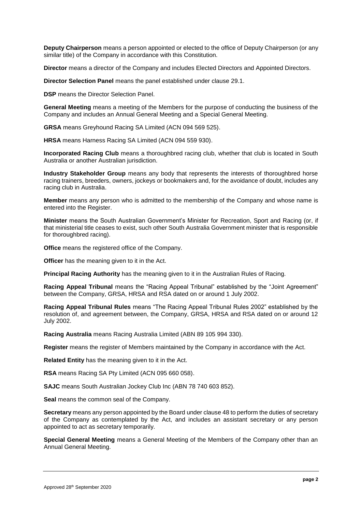**Deputy Chairperson** means a person appointed or elected to the office of Deputy Chairperson (or any similar title) of the Company in accordance with this Constitution.

**Director** means a director of the Company and includes Elected Directors and Appointed Directors.

**Director Selection Panel** means the panel established under clause [29.1.](#page-17-0)

**DSP** means the Director Selection Panel.

**General Meeting** means a meeting of the Members for the purpose of conducting the business of the Company and includes an Annual General Meeting and a Special General Meeting.

**GRSA** means Greyhound Racing SA Limited (ACN 094 569 525).

**HRSA** means Harness Racing SA Limited (ACN 094 559 930).

**Incorporated Racing Club** means a thoroughbred racing club, whether that club is located in South Australia or another Australian jurisdiction.

**Industry Stakeholder Group** means any body that represents the interests of thoroughbred horse racing trainers, breeders, owners, jockeys or bookmakers and, for the avoidance of doubt, includes any racing club in Australia.

**Member** means any person who is admitted to the membership of the Company and whose name is entered into the Register.

**Minister** means the South Australian Government's Minister for Recreation, Sport and Racing (or, if that ministerial title ceases to exist, such other South Australia Government minister that is responsible for thoroughbred racing).

**Office** means the registered office of the Company.

**Officer** has the meaning given to it in the Act.

**Principal Racing Authority** has the meaning given to it in the Australian Rules of Racing.

**Racing Appeal Tribunal** means the "Racing Appeal Tribunal" established by the "Joint Agreement" between the Company, GRSA, HRSA and RSA dated on or around 1 July 2002.

**Racing Appeal Tribunal Rules** means "The Racing Appeal Tribunal Rules 2002" established by the resolution of, and agreement between, the Company, GRSA, HRSA and RSA dated on or around 12 July 2002.

**Racing Australia** means Racing Australia Limited (ABN 89 105 994 330).

**Register** means the register of Members maintained by the Company in accordance with the Act.

**Related Entity** has the meaning given to it in the Act.

**RSA** means Racing SA Pty Limited (ACN 095 660 058).

**SAJC** means South Australian Jockey Club Inc (ABN 78 740 603 852).

**Seal** means the common seal of the Company.

**Secretary** means any person appointed by the Board under clause [48](#page-27-2) to perform the duties of secretary of the Company as contemplated by the Act, and includes an assistant secretary or any person appointed to act as secretary temporarily.

**Special General Meeting** means a General Meeting of the Members of the Company other than an Annual General Meeting.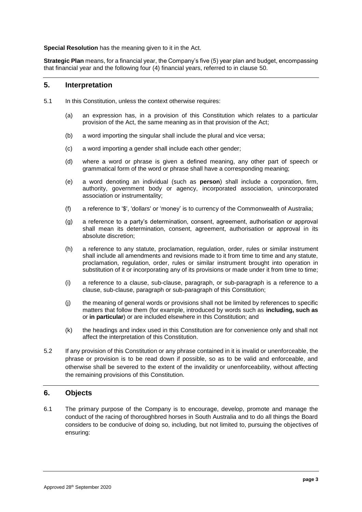**Special Resolution** has the meaning given to it in the Act.

**Strategic Plan** means, for a financial year, the Company's five (5) year plan and budget, encompassing that financial year and the following four (4) financial years, referred to in clause [50.](#page-28-0)

# **5. Interpretation**

- 5.1 In this Constitution, unless the context otherwise requires:
	- (a) an expression has, in a provision of this Constitution which relates to a particular provision of the Act, the same meaning as in that provision of the Act;
	- (b) a word importing the singular shall include the plural and vice versa;
	- (c) a word importing a gender shall include each other gender;
	- (d) where a word or phrase is given a defined meaning, any other part of speech or grammatical form of the word or phrase shall have a corresponding meaning;
	- (e) a word denoting an individual (such as **person**) shall include a corporation, firm, authority, government body or agency, incorporated association, unincorporated association or instrumentality;
	- (f) a reference to '\$', 'dollars' or 'money' is to currency of the Commonwealth of Australia;
	- (g) a reference to a party's determination, consent, agreement, authorisation or approval shall mean its determination, consent, agreement, authorisation or approval in its absolute discretion;
	- (h) a reference to any statute, proclamation, regulation, order, rules or similar instrument shall include all amendments and revisions made to it from time to time and any statute, proclamation, regulation, order, rules or similar instrument brought into operation in substitution of it or incorporating any of its provisions or made under it from time to time;
	- (i) a reference to a clause, sub-clause, paragraph, or sub-paragraph is a reference to a clause, sub-clause, paragraph or sub-paragraph of this Constitution;
	- (j) the meaning of general words or provisions shall not be limited by references to specific matters that follow them (for example, introduced by words such as **including, such as** or **in particular**) or are included elsewhere in this Constitution; and
	- (k) the headings and index used in this Constitution are for convenience only and shall not affect the interpretation of this Constitution.
- 5.2 If any provision of this Constitution or any phrase contained in it is invalid or unenforceable, the phrase or provision is to be read down if possible, so as to be valid and enforceable, and otherwise shall be severed to the extent of the invalidity or unenforceability, without affecting the remaining provisions of this Constitution.

# <span id="page-5-1"></span>**6. Objects**

<span id="page-5-0"></span>6.1 The primary purpose of the Company is to encourage, develop, promote and manage the conduct of the racing of thoroughbred horses in South Australia and to do all things the Board considers to be conducive of doing so, including, but not limited to, pursuing the objectives of ensuring: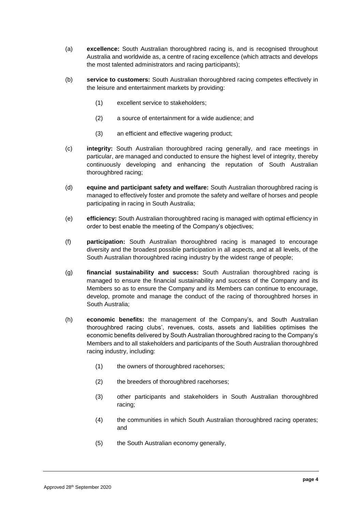- (a) **excellence:** South Australian thoroughbred racing is, and is recognised throughout Australia and worldwide as, a centre of racing excellence (which attracts and develops the most talented administrators and racing participants);
- (b) **service to customers:** South Australian thoroughbred racing competes effectively in the leisure and entertainment markets by providing:
	- (1) excellent service to stakeholders;
	- (2) a source of entertainment for a wide audience; and
	- (3) an efficient and effective wagering product;
- (c) **integrity:** South Australian thoroughbred racing generally, and race meetings in particular, are managed and conducted to ensure the highest level of integrity, thereby continuously developing and enhancing the reputation of South Australian thoroughbred racing;
- (d) **equine and participant safety and welfare:** South Australian thoroughbred racing is managed to effectively foster and promote the safety and welfare of horses and people participating in racing in South Australia;
- (e) **efficiency:** South Australian thoroughbred racing is managed with optimal efficiency in order to best enable the meeting of the Company's objectives;
- (f) **participation:** South Australian thoroughbred racing is managed to encourage diversity and the broadest possible participation in all aspects, and at all levels, of the South Australian thoroughbred racing industry by the widest range of people;
- (g) **financial sustainability and success:** South Australian thoroughbred racing is managed to ensure the financial sustainability and success of the Company and its Members so as to ensure the Company and its Members can continue to encourage, develop, promote and manage the conduct of the racing of thoroughbred horses in South Australia;
- (h) **economic benefits:** the management of the Company's, and South Australian thoroughbred racing clubs', revenues, costs, assets and liabilities optimises the economic benefits delivered by South Australian thoroughbred racing to the Company's Members and to all stakeholders and participants of the South Australian thoroughbred racing industry, including:
	- (1) the owners of thoroughbred racehorses;
	- (2) the breeders of thoroughbred racehorses;
	- (3) other participants and stakeholders in South Australian thoroughbred racing;
	- (4) the communities in which South Australian thoroughbred racing operates; and
	- (5) the South Australian economy generally,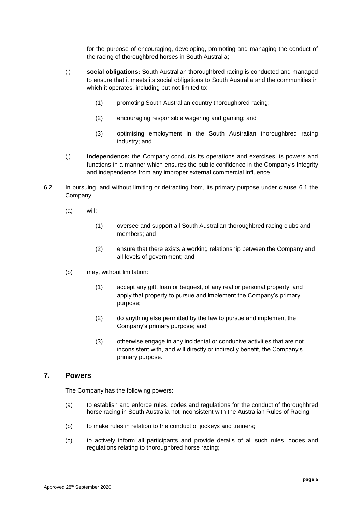for the purpose of encouraging, developing, promoting and managing the conduct of the racing of thoroughbred horses in South Australia;

- (i) **social obligations:** South Australian thoroughbred racing is conducted and managed to ensure that it meets its social obligations to South Australia and the communities in which it operates, including but not limited to:
	- (1) promoting South Australian country thoroughbred racing;
	- (2) encouraging responsible wagering and gaming; and
	- (3) optimising employment in the South Australian thoroughbred racing industry; and
- (j) **independence:** the Company conducts its operations and exercises its powers and functions in a manner which ensures the public confidence in the Company's integrity and independence from any improper external commercial influence.
- 6.2 In pursuing, and without limiting or detracting from, its primary purpose under clause [6.1](#page-5-0) the Company:
	- (a) will:
		- (1) oversee and support all South Australian thoroughbred racing clubs and members; and
		- (2) ensure that there exists a working relationship between the Company and all levels of government; and
	- (b) may, without limitation:
		- (1) accept any gift, loan or bequest, of any real or personal property, and apply that property to pursue and implement the Company's primary purpose;
		- (2) do anything else permitted by the law to pursue and implement the Company's primary purpose; and
		- (3) otherwise engage in any incidental or conducive activities that are not inconsistent with, and will directly or indirectly benefit, the Company's primary purpose.

# **7. Powers**

The Company has the following powers:

- (a) to establish and enforce rules, codes and regulations for the conduct of thoroughbred horse racing in South Australia not inconsistent with the Australian Rules of Racing;
- (b) to make rules in relation to the conduct of jockeys and trainers;
- (c) to actively inform all participants and provide details of all such rules, codes and regulations relating to thoroughbred horse racing;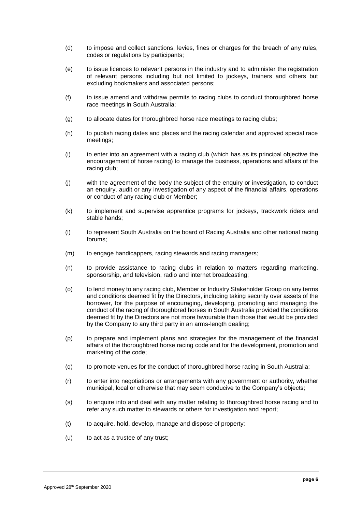- (d) to impose and collect sanctions, levies, fines or charges for the breach of any rules, codes or regulations by participants;
- (e) to issue licences to relevant persons in the industry and to administer the registration of relevant persons including but not limited to jockeys, trainers and others but excluding bookmakers and associated persons;
- (f) to issue amend and withdraw permits to racing clubs to conduct thoroughbred horse race meetings in South Australia;
- (g) to allocate dates for thoroughbred horse race meetings to racing clubs;
- (h) to publish racing dates and places and the racing calendar and approved special race meetings;
- (i) to enter into an agreement with a racing club (which has as its principal objective the encouragement of horse racing) to manage the business, operations and affairs of the racing club;
- (j) with the agreement of the body the subject of the enquiry or investigation, to conduct an enquiry, audit or any investigation of any aspect of the financial affairs, operations or conduct of any racing club or Member;
- (k) to implement and supervise apprentice programs for jockeys, trackwork riders and stable hands;
- (l) to represent South Australia on the board of Racing Australia and other national racing forums;
- (m) to engage handicappers, racing stewards and racing managers;
- (n) to provide assistance to racing clubs in relation to matters regarding marketing, sponsorship, and television, radio and internet broadcasting;
- (o) to lend money to any racing club, Member or Industry Stakeholder Group on any terms and conditions deemed fit by the Directors, including taking security over assets of the borrower, for the purpose of encouraging, developing, promoting and managing the conduct of the racing of thoroughbred horses in South Australia provided the conditions deemed fit by the Directors are not more favourable than those that would be provided by the Company to any third party in an arms-length dealing;
- (p) to prepare and implement plans and strategies for the management of the financial affairs of the thoroughbred horse racing code and for the development, promotion and marketing of the code;
- (q) to promote venues for the conduct of thoroughbred horse racing in South Australia;
- (r) to enter into negotiations or arrangements with any government or authority, whether municipal, local or otherwise that may seem conducive to the Company's objects;
- (s) to enquire into and deal with any matter relating to thoroughbred horse racing and to refer any such matter to stewards or others for investigation and report;
- (t) to acquire, hold, develop, manage and dispose of property;
- (u) to act as a trustee of any trust;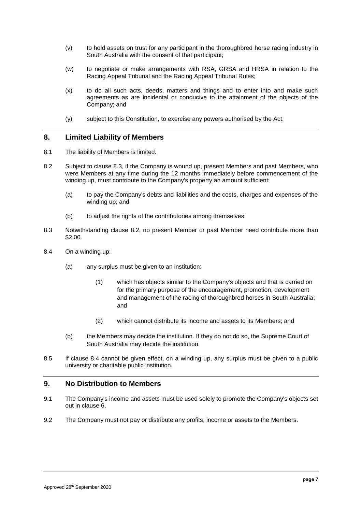- (v) to hold assets on trust for any participant in the thoroughbred horse racing industry in South Australia with the consent of that participant;
- (w) to negotiate or make arrangements with RSA, GRSA and HRSA in relation to the Racing Appeal Tribunal and the Racing Appeal Tribunal Rules;
- (x) to do all such acts, deeds, matters and things and to enter into and make such agreements as are incidental or conducive to the attainment of the objects of the Company; and
- (y) subject to this Constitution, to exercise any powers authorised by the Act.

# **8. Limited Liability of Members**

- 8.1 The liability of Members is limited.
- <span id="page-9-1"></span>8.2 Subject to clause [8.3,](#page-9-0) if the Company is wound up, present Members and past Members, who were Members at any time during the 12 months immediately before commencement of the winding up, must contribute to the Company's property an amount sufficient:
	- (a) to pay the Company's debts and liabilities and the costs, charges and expenses of the winding up; and
	- (b) to adjust the rights of the contributories among themselves.
- <span id="page-9-0"></span>8.3 Notwithstanding clause [8.2,](#page-9-1) no present Member or past Member need contribute more than \$2.00.
- <span id="page-9-2"></span>8.4 On a winding up:
	- (a) any surplus must be given to an institution:
		- (1) which has objects similar to the Company's objects and that is carried on for the primary purpose of the encouragement, promotion, development and management of the racing of thoroughbred horses in South Australia; and
		- (2) which cannot distribute its income and assets to its Members; and
	- (b) the Members may decide the institution. If they do not do so, the Supreme Court of South Australia may decide the institution.
- 8.5 If clause [8.4](#page-9-2) cannot be given effect, on a winding up, any surplus must be given to a public university or charitable public institution.

# **9. No Distribution to Members**

- 9.1 The Company's income and assets must be used solely to promote the Company's objects set out in clause [6.](#page-5-1)
- 9.2 The Company must not pay or distribute any profits, income or assets to the Members.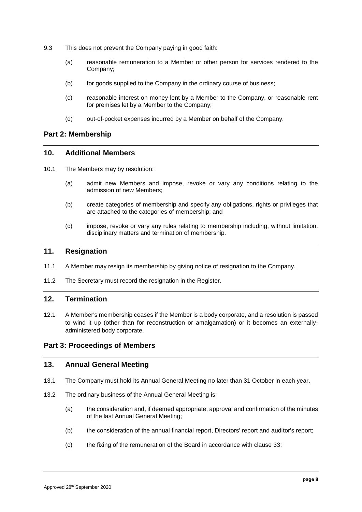- 9.3 This does not prevent the Company paying in good faith:
	- (a) reasonable remuneration to a Member or other person for services rendered to the Company;
	- (b) for goods supplied to the Company in the ordinary course of business;
	- (c) reasonable interest on money lent by a Member to the Company, or reasonable rent for premises let by a Member to the Company;
	- (d) out-of-pocket expenses incurred by a Member on behalf of the Company.

# **Part 2: Membership**

#### **10. Additional Members**

- 10.1 The Members may by resolution:
	- (a) admit new Members and impose, revoke or vary any conditions relating to the admission of new Members;
	- (b) create categories of membership and specify any obligations, rights or privileges that are attached to the categories of membership; and
	- (c) impose, revoke or vary any rules relating to membership including, without limitation, disciplinary matters and termination of membership.

#### **11. Resignation**

- 11.1 A Member may resign its membership by giving notice of resignation to the Company.
- 11.2 The Secretary must record the resignation in the Register.

# **12. Termination**

12.1 A Member's membership ceases if the Member is a body corporate, and a resolution is passed to wind it up (other than for reconstruction or amalgamation) or it becomes an externallyadministered body corporate.

# **Part 3: Proceedings of Members**

#### <span id="page-10-0"></span>**13. Annual General Meeting**

- 13.1 The Company must hold its Annual General Meeting no later than 31 October in each year.
- 13.2 The ordinary business of the Annual General Meeting is:
	- (a) the consideration and, if deemed appropriate, approval and confirmation of the minutes of the last Annual General Meeting;
	- (b) the consideration of the annual financial report, Directors' report and auditor's report;
	- (c) the fixing of the remuneration of the Board in accordance with clause [33;](#page-21-0)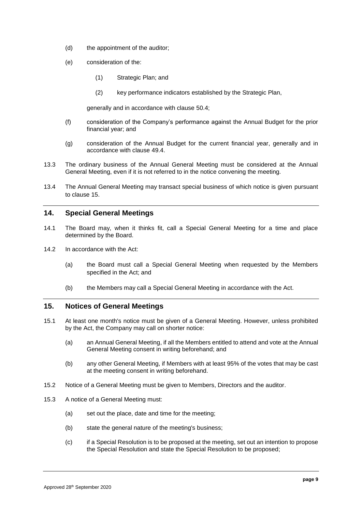- (d) the appointment of the auditor;
- <span id="page-11-1"></span>(e) consideration of the:
	- (1) Strategic Plan; and
	- (2) key performance indicators established by the Strategic Plan,

generally and in accordance with clause [50.4;](#page-29-0)

- <span id="page-11-2"></span>(f) consideration of the Company's performance against the Annual Budget for the prior financial year; and
- (g) consideration of the Annual Budget for the current financial year, generally and in accordance with clause [49.4.](#page-28-1)
- <span id="page-11-4"></span><span id="page-11-3"></span>13.3 The ordinary business of the Annual General Meeting must be considered at the Annual General Meeting, even if it is not referred to in the notice convening the meeting.
- 13.4 The Annual General Meeting may transact special business of which notice is given pursuant to clause [15.](#page-11-0)

#### **14. Special General Meetings**

- 14.1 The Board may, when it thinks fit, call a Special General Meeting for a time and place determined by the Board.
- 14.2 In accordance with the Act:
	- (a) the Board must call a Special General Meeting when requested by the Members specified in the Act; and
	- (b) the Members may call a Special General Meeting in accordance with the Act.

#### <span id="page-11-0"></span>**15. Notices of General Meetings**

- 15.1 At least one month's notice must be given of a General Meeting. However, unless prohibited by the Act, the Company may call on shorter notice:
	- (a) an Annual General Meeting, if all the Members entitled to attend and vote at the Annual General Meeting consent in writing beforehand; and
	- (b) any other General Meeting, if Members with at least 95% of the votes that may be cast at the meeting consent in writing beforehand.
- 15.2 Notice of a General Meeting must be given to Members, Directors and the auditor.
- 15.3 A notice of a General Meeting must:
	- (a) set out the place, date and time for the meeting;
	- (b) state the general nature of the meeting's business;
	- (c) if a Special Resolution is to be proposed at the meeting, set out an intention to propose the Special Resolution and state the Special Resolution to be proposed;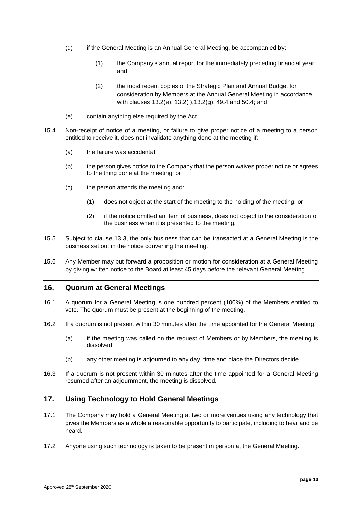- (d) if the General Meeting is an Annual General Meeting, be accompanied by:
	- (1) the Company's annual report for the immediately preceding financial year; and
	- (2) the most recent copies of the Strategic Plan and Annual Budget for consideration by Members at the Annual General Meeting in accordance with clauses [13.2\(e\),](#page-11-1) [13.2\(f\)](#page-11-2)[,13.2\(g\),](#page-11-3) [49.4](#page-28-1) and [50.4;](#page-29-0) and
- (e) contain anything else required by the Act.
- 15.4 Non-receipt of notice of a meeting, or failure to give proper notice of a meeting to a person entitled to receive it, does not invalidate anything done at the meeting if:
	- (a) the failure was accidental;
	- (b) the person gives notice to the Company that the person waives proper notice or agrees to the thing done at the meeting; or
	- (c) the person attends the meeting and:
		- (1) does not object at the start of the meeting to the holding of the meeting; or
		- (2) if the notice omitted an item of business, does not object to the consideration of the business when it is presented to the meeting.
- 15.5 Subject to clause [13.3,](#page-11-4) the only business that can be transacted at a General Meeting is the business set out in the notice convening the meeting.
- 15.6 Any Member may put forward a proposition or motion for consideration at a General Meeting by giving written notice to the Board at least 45 days before the relevant General Meeting.

#### **16. Quorum at General Meetings**

- 16.1 A quorum for a General Meeting is one hundred percent (100%) of the Members entitled to vote. The quorum must be present at the beginning of the meeting.
- 16.2 If a quorum is not present within 30 minutes after the time appointed for the General Meeting:
	- (a) if the meeting was called on the request of Members or by Members, the meeting is dissolved;
	- (b) any other meeting is adjourned to any day, time and place the Directors decide.
- 16.3 If a quorum is not present within 30 minutes after the time appointed for a General Meeting resumed after an adjournment, the meeting is dissolved*.*

# **17. Using Technology to Hold General Meetings**

- 17.1 The Company may hold a General Meeting at two or more venues using any technology that gives the Members as a whole a reasonable opportunity to participate, including to hear and be heard.
- 17.2 Anyone using such technology is taken to be present in person at the General Meeting.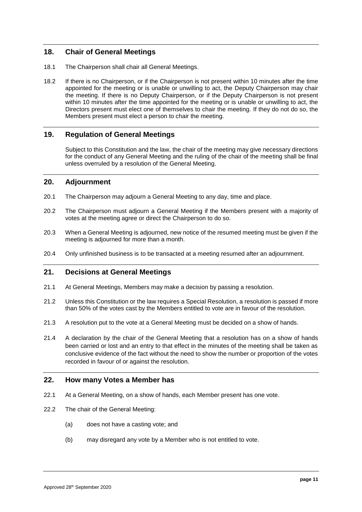# **18. Chair of General Meetings**

- 18.1 The Chairperson shall chair all General Meetings.
- 18.2 If there is no Chairperson, or if the Chairperson is not present within 10 minutes after the time appointed for the meeting or is unable or unwilling to act, the Deputy Chairperson may chair the meeting. If there is no Deputy Chairperson, or if the Deputy Chairperson is not present within 10 minutes after the time appointed for the meeting or is unable or unwilling to act, the Directors present must elect one of themselves to chair the meeting. If they do not do so, the Members present must elect a person to chair the meeting.

# **19. Regulation of General Meetings**

Subject to this Constitution and the law, the chair of the meeting may give necessary directions for the conduct of any General Meeting and the ruling of the chair of the meeting shall be final unless overruled by a resolution of the General Meeting.

#### **20. Adjournment**

- 20.1 The Chairperson may adjourn a General Meeting to any day, time and place.
- 20.2 The Chairperson must adjourn a General Meeting if the Members present with a majority of votes at the meeting agree or direct the Chairperson to do so.
- 20.3 When a General Meeting is adjourned, new notice of the resumed meeting must be given if the meeting is adjourned for more than a month.
- 20.4 Only unfinished business is to be transacted at a meeting resumed after an adjournment.

# **21. Decisions at General Meetings**

- 21.1 At General Meetings, Members may make a decision by passing a resolution.
- 21.2 Unless this Constitution or the law requires a Special Resolution, a resolution is passed if more than 50% of the votes cast by the Members entitled to vote are in favour of the resolution.
- 21.3 A resolution put to the vote at a General Meeting must be decided on a show of hands.
- 21.4 A declaration by the chair of the General Meeting that a resolution has on a show of hands been carried or lost and an entry to that effect in the minutes of the meeting shall be taken as conclusive evidence of the fact without the need to show the number or proportion of the votes recorded in favour of or against the resolution.

# **22. How many Votes a Member has**

- 22.1 At a General Meeting, on a show of hands, each Member present has one vote.
- 22.2 The chair of the General Meeting:
	- (a) does not have a casting vote; and
	- (b) may disregard any vote by a Member who is not entitled to vote.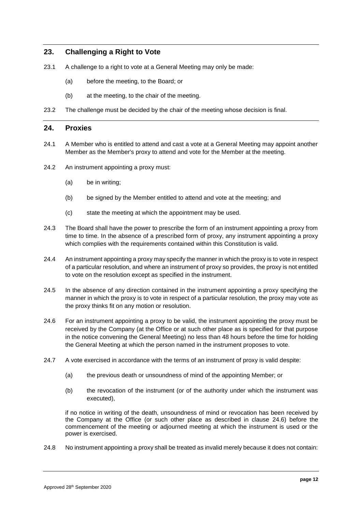# **23. Challenging a Right to Vote**

- 23.1 A challenge to a right to vote at a General Meeting may only be made:
	- (a) before the meeting, to the Board; or
	- (b) at the meeting, to the chair of the meeting.
- 23.2 The challenge must be decided by the chair of the meeting whose decision is final.

#### **24. Proxies**

- 24.1 A Member who is entitled to attend and cast a vote at a General Meeting may appoint another Member as the Member's proxy to attend and vote for the Member at the meeting.
- 24.2 An instrument appointing a proxy must:
	- (a) be in writing;
	- (b) be signed by the Member entitled to attend and vote at the meeting; and
	- (c) state the meeting at which the appointment may be used.
- 24.3 The Board shall have the power to prescribe the form of an instrument appointing a proxy from time to time. In the absence of a prescribed form of proxy, any instrument appointing a proxy which complies with the requirements contained within this Constitution is valid.
- 24.4 An instrument appointing a proxy may specify the manner in which the proxy is to vote in respect of a particular resolution, and where an instrument of proxy so provides, the proxy is not entitled to vote on the resolution except as specified in the instrument.
- 24.5 In the absence of any direction contained in the instrument appointing a proxy specifying the manner in which the proxy is to vote in respect of a particular resolution, the proxy may vote as the proxy thinks fit on any motion or resolution.
- <span id="page-14-0"></span>24.6 For an instrument appointing a proxy to be valid, the instrument appointing the proxy must be received by the Company (at the Office or at such other place as is specified for that purpose in the notice convening the General Meeting) no less than 48 hours before the time for holding the General Meeting at which the person named in the instrument proposes to vote.
- 24.7 A vote exercised in accordance with the terms of an instrument of proxy is valid despite:
	- (a) the previous death or unsoundness of mind of the appointing Member; or
	- (b) the revocation of the instrument (or of the authority under which the instrument was executed),

if no notice in writing of the death, unsoundness of mind or revocation has been received by the Company at the Office (or such other place as described in clause [24.6\)](#page-14-0) before the commencement of the meeting or adjourned meeting at which the instrument is used or the power is exercised.

24.8 No instrument appointing a proxy shall be treated as invalid merely because it does not contain: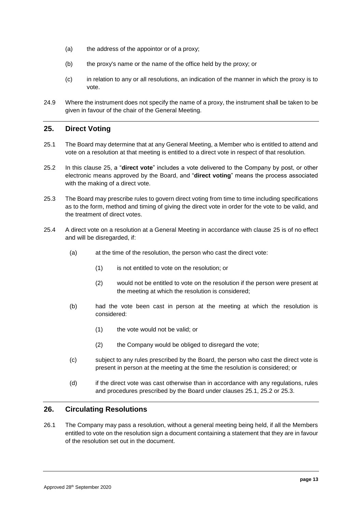- (a) the address of the appointor or of a proxy;
- (b) the proxy's name or the name of the office held by the proxy; or
- (c) in relation to any or all resolutions, an indication of the manner in which the proxy is to vote.
- 24.9 Where the instrument does not specify the name of a proxy, the instrument shall be taken to be given in favour of the chair of the General Meeting.

# <span id="page-15-0"></span>**25. Direct Voting**

- <span id="page-15-1"></span>25.1 The Board may determine that at any General Meeting, a Member who is entitled to attend and vote on a resolution at that meeting is entitled to a direct vote in respect of that resolution.
- <span id="page-15-2"></span>25.2 In this clause [25,](#page-15-0) a "**direct vote**" includes a vote delivered to the Company by post, or other electronic means approved by the Board, and "**direct voting**" means the process associated with the making of a direct vote.
- <span id="page-15-3"></span>25.3 The Board may prescribe rules to govern direct voting from time to time including specifications as to the form, method and timing of giving the direct vote in order for the vote to be valid, and the treatment of direct votes.
- 25.4 A direct vote on a resolution at a General Meeting in accordance with clause [25](#page-15-0) is of no effect and will be disregarded, if:
	- (a) at the time of the resolution, the person who cast the direct vote:
		- (1) is not entitled to vote on the resolution; or
		- (2) would not be entitled to vote on the resolution if the person were present at the meeting at which the resolution is considered;
	- (b) had the vote been cast in person at the meeting at which the resolution is considered:
		- (1) the vote would not be valid; or
		- (2) the Company would be obliged to disregard the vote;
	- (c) subject to any rules prescribed by the Board, the person who cast the direct vote is present in person at the meeting at the time the resolution is considered; or
	- (d) if the direct vote was cast otherwise than in accordance with any regulations, rules and procedures prescribed by the Board under clauses [25.1,](#page-15-1) [25.2](#page-15-2) or [25.3.](#page-15-3)

# **26. Circulating Resolutions**

26.1 The Company may pass a resolution, without a general meeting being held, if all the Members entitled to vote on the resolution sign a document containing a statement that they are in favour of the resolution set out in the document.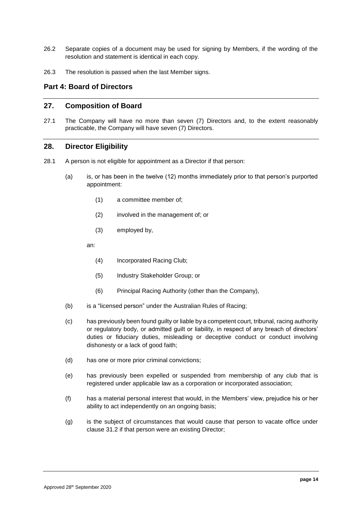- 26.2 Separate copies of a document may be used for signing by Members, if the wording of the resolution and statement is identical in each copy.
- 26.3 The resolution is passed when the last Member signs.

# **Part 4: Board of Directors**

# <span id="page-16-2"></span>**27. Composition of Board**

<span id="page-16-3"></span>27.1 The Company will have no more than seven (7) Directors and, to the extent reasonably practicable, the Company will have seven (7) Directors.

#### <span id="page-16-1"></span>**28. Director Eligibility**

- <span id="page-16-0"></span>28.1 A person is not eligible for appointment as a Director if that person:
	- (a) is, or has been in the twelve (12) months immediately prior to that person's purported appointment:
		- (1) a committee member of;
		- (2) involved in the management of; or
		- (3) employed by,
		- an:
			- (4) Incorporated Racing Club;
			- (5) Industry Stakeholder Group; or
			- (6) Principal Racing Authority (other than the Company),
	- (b) is a "licensed person" under the Australian Rules of Racing;
	- (c) has previously been found guilty or liable by a competent court, tribunal, racing authority or regulatory body, or admitted guilt or liability, in respect of any breach of directors' duties or fiduciary duties, misleading or deceptive conduct or conduct involving dishonesty or a lack of good faith;
	- (d) has one or more prior criminal convictions;
	- (e) has previously been expelled or suspended from membership of any club that is registered under applicable law as a corporation or incorporated association;
	- (f) has a material personal interest that would, in the Members' view, prejudice his or her ability to act independently on an ongoing basis;
	- (g) is the subject of circumstances that would cause that person to vacate office under clause [31.2](#page-20-0) if that person were an existing Director;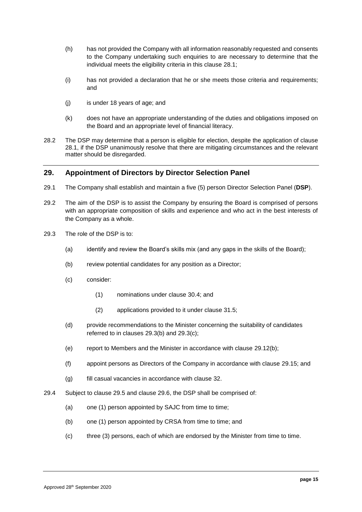- (h) has not provided the Company with all information reasonably requested and consents to the Company undertaking such enquiries to are necessary to determine that the individual meets the eligibility criteria in this clause [28.1;](#page-16-0)
- (i) has not provided a declaration that he or she meets those criteria and requirements; and
- (j) is under 18 years of age; and
- (k) does not have an appropriate understanding of the duties and obligations imposed on the Board and an appropriate level of financial literacy.
- <span id="page-17-5"></span>28.2 The DSP may determine that a person is eligible for election, despite the application of clause [28.1,](#page-16-0) if the DSP unanimously resolve that there are mitigating circumstances and the relevant matter should be disregarded.

# <span id="page-17-4"></span>**29. Appointment of Directors by Director Selection Panel**

- <span id="page-17-0"></span>29.1 The Company shall establish and maintain a five (5) person Director Selection Panel (**DSP**).
- <span id="page-17-6"></span>29.2 The aim of the DSP is to assist the Company by ensuring the Board is comprised of persons with an appropriate composition of skills and experience and who act in the best interests of the Company as a whole.
- <span id="page-17-2"></span><span id="page-17-1"></span>29.3 The role of the DSP is to:
	- (a) identify and review the Board's skills mix (and any gaps in the skills of the Board);
	- (b) review potential candidates for any position as a Director;
	- (c) consider:
		- (1) nominations under clause [30.4;](#page-19-0) and
		- (2) applications provided to it under clause [31.5;](#page-20-1)
	- (d) provide recommendations to the Minister concerning the suitability of candidates referred to in clauses [29.3\(b\)](#page-17-1) and [29.3\(c\);](#page-17-2)
	- (e) report to Members and the Minister in accordance with clause [29.12\(b\);](#page-18-0)
	- (f) appoint persons as Directors of the Company in accordance with clause [29.15;](#page-19-1) and
	- (g) fill casual vacancies in accordance with clause [32.](#page-20-2)
- <span id="page-17-3"></span>29.4 Subject to clause [29.5](#page-18-1) and clause [29.6,](#page-18-2) the DSP shall be comprised of:
	- (a) one (1) person appointed by SAJC from time to time;
	- (b) one (1) person appointed by CRSA from time to time; and
	- (c) three (3) persons, each of which are endorsed by the Minister from time to time.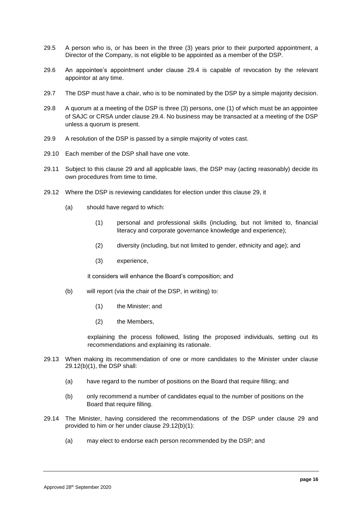- <span id="page-18-1"></span>29.5 A person who is, or has been in the three (3) years prior to their purported appointment, a Director of the Company, is not eligible to be appointed as a member of the DSP.
- <span id="page-18-2"></span>29.6 An appointee's appointment under clause [29.4](#page-17-3) is capable of revocation by the relevant appointor at any time.
- 29.7 The DSP must have a chair, who is to be nominated by the DSP by a simple majority decision.
- 29.8 A quorum at a meeting of the DSP is three (3) persons, one (1) of which must be an appointee of SAJC or CRSA under clause [29.4.](#page-17-3) No business may be transacted at a meeting of the DSP unless a quorum is present.
- 29.9 A resolution of the DSP is passed by a simple majority of votes cast.
- 29.10 Each member of the DSP shall have one vote.
- 29.11 Subject to this clause [29](#page-17-4) and all applicable laws, the DSP may (acting reasonably) decide its own procedures from time to time.
- <span id="page-18-5"></span>29.12 Where the DSP is reviewing candidates for election under this clause [29,](#page-17-4) it
	- (a) should have regard to which:
		- (1) personal and professional skills (including, but not limited to, financial literacy and corporate governance knowledge and experience);
		- (2) diversity (including, but not limited to gender, ethnicity and age); and
		- (3) experience,

it considers will enhance the Board's composition; and

- <span id="page-18-3"></span><span id="page-18-0"></span>(b) will report (via the chair of the DSP, in writing) to:
	- (1) the Minister; and
	- (2) the Members,

explaining the process followed, listing the proposed individuals, setting out its recommendations and explaining its rationale.

- 29.13 When making its recommendation of one or more candidates to the Minister under clause [29.12\(b\)\(1\),](#page-18-3) the DSP shall:
	- (a) have regard to the number of positions on the Board that require filling; and
	- (b) only recommend a number of candidates equal to the number of positions on the Board that require filling.
- <span id="page-18-4"></span>29.14 The Minister, having considered the recommendations of the DSP under clause [29](#page-17-4) and provided to him or her under clause [29.12\(b\)\(1\):](#page-18-3)
	- (a) may elect to endorse each person recommended by the DSP; and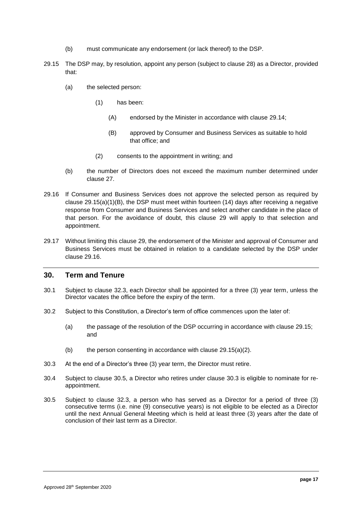- <span id="page-19-1"></span>(b) must communicate any endorsement (or lack thereof) to the DSP.
- <span id="page-19-4"></span>29.15 The DSP may, by resolution, appoint any person (subject to clause [28\)](#page-16-1) as a Director, provided that:
	- (a) the selected person:
		- (1) has been:
			- (A) endorsed by the Minister in accordance with clause [29.14;](#page-18-4)
			- (B) approved by Consumer and Business Services as suitable to hold that office; and
		- (2) consents to the appointment in writing; and
	- (b) the number of Directors does not exceed the maximum number determined under clause [27.](#page-16-2)
- <span id="page-19-5"></span><span id="page-19-3"></span><span id="page-19-2"></span>29.16 If Consumer and Business Services does not approve the selected person as required by clause  $29.15(a)(1)(B)$ , the DSP must meet within fourteen  $(14)$  days after receiving a negative response from Consumer and Business Services and select another candidate in the place of that person. For the avoidance of doubt, this clause [29](#page-17-4) will apply to that selection and appointment.
- 29.17 Without limiting this clause [29,](#page-17-4) the endorsement of the Minister and approval of Consumer and Business Services must be obtained in relation to a candidate selected by the DSP under clause [29.16.](#page-19-3)

#### **30. Term and Tenure**

- <span id="page-19-8"></span>30.1 Subject to clause [32.3,](#page-21-1) each Director shall be appointed for a three (3) year term, unless the Director vacates the office before the expiry of the term.
- 30.2 Subject to this Constitution, a Director's term of office commences upon the later of:
	- (a) the passage of the resolution of the DSP occurring in accordance with clause [29.15;](#page-19-4) and
	- (b) the person consenting in accordance with clause  $29.15(a)(2)$ .
- <span id="page-19-7"></span>30.3 At the end of a Director's three (3) year term, the Director must retire.
- <span id="page-19-0"></span>30.4 Subject to clause [30.5,](#page-19-6) a Director who retires under clause [30.3](#page-19-7) is eligible to nominate for reappointment.
- <span id="page-19-6"></span>30.5 Subject to clause [32.3,](#page-21-1) a person who has served as a Director for a period of three (3) consecutive terms (i.e. nine (9) consecutive years) is not eligible to be elected as a Director until the next Annual General Meeting which is held at least three (3) years after the date of conclusion of their last term as a Director.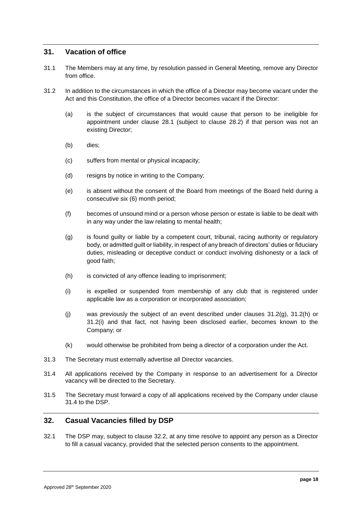# **31. Vacation of office**

- 31.1 The Members may at any time, by resolution passed in General Meeting, remove any Director from office.
- <span id="page-20-0"></span>31.2 In addition to the circumstances in which the office of a Director may become vacant under the Act and this Constitution, the office of a Director becomes vacant if the Director:
	- (a) is the subject of circumstances that would cause that person to be ineligible for appointment under clause [28.1](#page-16-0) (subject to clause [28.2\)](#page-17-5) if that person was not an existing Director;
	- (b) dies;
	- (c) suffers from mental or physical incapacity;
	- (d) resigns by notice in writing to the Company;
	- (e) is absent without the consent of the Board from meetings of the Board held during a consecutive six (6) month period;
	- (f) becomes of unsound mind or a person whose person or estate is liable to be dealt with in any way under the law relating to mental health;
	- (g) is found guilty or liable by a competent court, tribunal, racing authority or regulatory body, or admitted guilt or liability, in respect of any breach of directors' duties or fiduciary duties, misleading or deceptive conduct or conduct involving dishonesty or a lack of good faith;
	- (h) is convicted of any offence leading to imprisonment;
	- (i) is expelled or suspended from membership of any club that is registered under applicable law as a corporation or incorporated association;
	- (j) was previously the subject of an event described under clauses [31.2\(g\), 31.2\(h\)](#page-20-0) or [31.2\(i\)](#page-20-0) and that fact, not having been disclosed earlier, becomes known to the Company; or
	- (k) would otherwise be prohibited from being a director of a corporation under the Act.
- 31.3 The Secretary must externally advertise all Director vacancies.
- <span id="page-20-3"></span>31.4 All applications received by the Company in response to an advertisement for a Director vacancy will be directed to the Secretary.
- <span id="page-20-1"></span>31.5 The Secretary must forward a copy of all applications received by the Company under clause [31.4](#page-20-3) to the DSP.

# <span id="page-20-2"></span>**32. Casual Vacancies filled by DSP**

<span id="page-20-4"></span>32.1 The DSP may, subject to clause [32.2,](#page-21-2) at any time resolve to appoint any person as a Director to fill a casual vacancy, provided that the selected person consents to the appointment.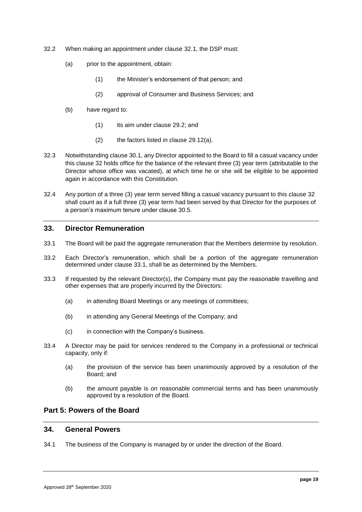- <span id="page-21-2"></span>32.2 When making an appointment under clause [32.1,](#page-20-4) the DSP must:
	- (a) prior to the appointment, obtain:
		- (1) the Minister's endorsement of that person; and
		- (2) approval of Consumer and Business Services; and
	- (b) have regard to:
		- (1) its aim under clause [29.2;](#page-17-6) and
		- (2) the factors listed in clause [29.12\(a\).](#page-18-5)
- <span id="page-21-1"></span>32.3 Notwithstanding clause [30.1,](#page-19-8) any Director appointed to the Board to fill a casual vacancy under this clause [32](#page-20-2) holds office for the balance of the relevant three (3) year term (attributable to the Director whose office was vacated), at which time he or she will be eligible to be appointed again in accordance with this Constitution.
- 32.4 Any portion of a three (3) year term served filling a casual vacancy pursuant to this clause [32](#page-20-2) shall count as if a full three (3) year term had been served by that Director for the purposes of a person's maximum tenure under clause [30.5.](#page-19-6)

# <span id="page-21-0"></span>**33. Director Remuneration**

- <span id="page-21-3"></span>33.1 The Board will be paid the aggregate remuneration that the Members determine by resolution.
- 33.2 Each Director's remuneration, which shall be a portion of the aggregate remuneration determined under clause [33.1,](#page-21-3) shall be as determined by the Members.
- 33.3 If requested by the relevant Director(s), the Company must pay the reasonable travelling and other expenses that are properly incurred by the Directors:
	- (a) in attending Board Meetings or any meetings of committees;
	- (b) in attending any General Meetings of the Company; and
	- (c) in connection with the Company's business.
- 33.4 A Director may be paid for services rendered to the Company in a professional or technical capacity, only if:
	- (a) the provision of the service has been unanimously approved by a resolution of the Board; and
	- (b) the amount payable is on reasonable commercial terms and has been unanimously approved by a resolution of the Board.

# **Part 5: Powers of the Board**

# **34. General Powers**

34.1 The business of the Company is managed by or under the direction of the Board.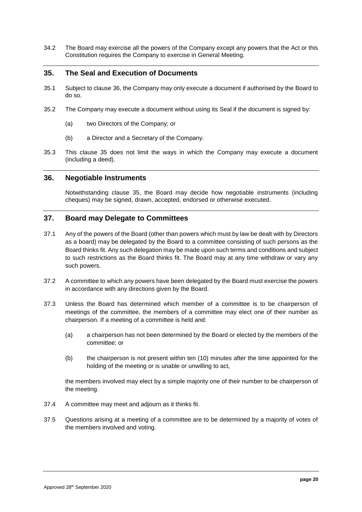34.2 The Board may exercise all the powers of the Company except any powers that the Act or this Constitution requires the Company to exercise in General Meeting.

# <span id="page-22-1"></span>**35. The Seal and Execution of Documents**

- 35.1 Subject to clause [36,](#page-22-0) the Company may only execute a document if authorised by the Board to do so.
- 35.2 The Company may execute a document without using its Seal if the document is signed by:
	- (a) two Directors of the Company; or
	- (b) a Director and a Secretary of the Company.
- 35.3 This clause [35](#page-22-1) does not limit the ways in which the Company may execute a document (including a deed).

#### <span id="page-22-0"></span>**36. Negotiable Instruments**

Notwithstanding clause [35,](#page-22-1) the Board may decide how negotiable instruments (including cheques) may be signed, drawn, accepted, endorsed or otherwise executed.

# **37. Board may Delegate to Committees**

- 37.1 Any of the powers of the Board (other than powers which must by law be dealt with by Directors as a board) may be delegated by the Board to a committee consisting of such persons as the Board thinks fit. Any such delegation may be made upon such terms and conditions and subject to such restrictions as the Board thinks fit. The Board may at any time withdraw or vary any such powers.
- 37.2 A committee to which any powers have been delegated by the Board must exercise the powers in accordance with any directions given by the Board.
- 37.3 Unless the Board has determined which member of a committee is to be chairperson of meetings of the committee, the members of a committee may elect one of their number as chairperson. If a meeting of a committee is held and:
	- (a) a chairperson has not been determined by the Board or elected by the members of the committee; or
	- (b) the chairperson is not present within ten (10) minutes after the time appointed for the holding of the meeting or is unable or unwilling to act,

the members involved may elect by a simple majority one of their number to be chairperson of the meeting.

- 37.4 A committee may meet and adjourn as it thinks fit.
- 37.5 Questions arising at a meeting of a committee are to be determined by a majority of votes of the members involved and voting.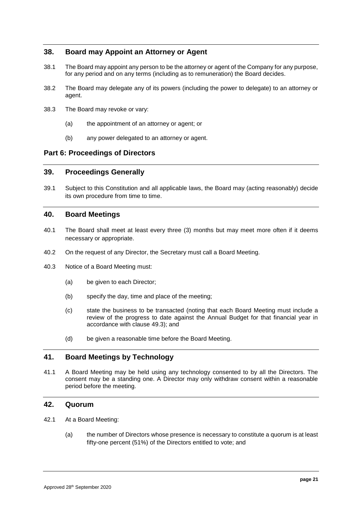# **38. Board may Appoint an Attorney or Agent**

- 38.1 The Board may appoint any person to be the attorney or agent of the Company for any purpose, for any period and on any terms (including as to remuneration) the Board decides.
- 38.2 The Board may delegate any of its powers (including the power to delegate) to an attorney or agent.
- 38.3 The Board may revoke or vary:
	- (a) the appointment of an attorney or agent; or
	- (b) any power delegated to an attorney or agent.

# **Part 6: Proceedings of Directors**

#### **39. Proceedings Generally**

39.1 Subject to this Constitution and all applicable laws, the Board may (acting reasonably) decide its own procedure from time to time.

# <span id="page-23-0"></span>**40. Board Meetings**

- 40.1 The Board shall meet at least every three (3) months but may meet more often if it deems necessary or appropriate.
- 40.2 On the request of any Director, the Secretary must call a Board Meeting.
- 40.3 Notice of a Board Meeting must:
	- (a) be given to each Director;
	- (b) specify the day, time and place of the meeting;
	- (c) state the business to be transacted (noting that each Board Meeting must include a review of the progress to date against the Annual Budget for that financial year in accordance with clause [49.3\)](#page-28-2); and
	- (d) be given a reasonable time before the Board Meeting.

# **41. Board Meetings by Technology**

41.1 A Board Meeting may be held using any technology consented to by all the Directors. The consent may be a standing one. A Director may only withdraw consent within a reasonable period before the meeting.

#### **42. Quorum**

- 42.1 At a Board Meeting:
	- (a) the number of Directors whose presence is necessary to constitute a quorum is at least fifty-one percent (51%) of the Directors entitled to vote; and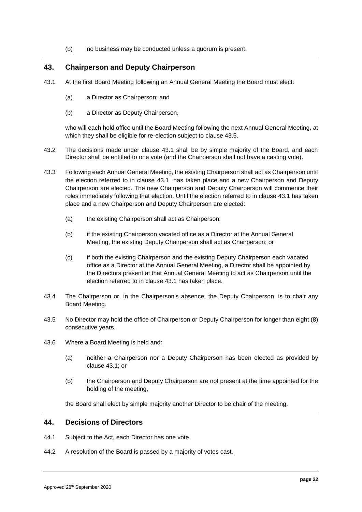(b) no business may be conducted unless a quorum is present.

# **43. Chairperson and Deputy Chairperson**

- <span id="page-24-1"></span>43.1 At the first Board Meeting following an Annual General Meeting the Board must elect:
	- (a) a Director as Chairperson; and
	- (b) a Director as Deputy Chairperson,

who will each hold office until the Board Meeting following the next Annual General Meeting, at which they shall be eligible for re-election subject to clause [43.5.](#page-24-0)

- 43.2 The decisions made under clause [43.1](#page-24-1) shall be by simple majority of the Board, and each Director shall be entitled to one vote (and the Chairperson shall not have a casting vote).
- 43.3 Following each Annual General Meeting, the existing Chairperson shall act as Chairperson until the election referred to in clause [43.1](#page-24-1) has taken place and a new Chairperson and Deputy Chairperson are elected. The new Chairperson and Deputy Chairperson will commence their roles immediately following that election. Until the election referred to in clause [43.1](#page-24-1) has taken place and a new Chairperson and Deputy Chairperson are elected:
	- (a) the existing Chairperson shall act as Chairperson;
	- (b) if the existing Chairperson vacated office as a Director at the Annual General Meeting, the existing Deputy Chairperson shall act as Chairperson; or
	- (c) if both the existing Chairperson and the existing Deputy Chairperson each vacated office as a Director at the Annual General Meeting, a Director shall be appointed by the Directors present at that Annual General Meeting to act as Chairperson until the election referred to in clause [43.1](#page-24-1) has taken place.
- 43.4 The Chairperson or, in the Chairperson's absence, the Deputy Chairperson, is to chair any Board Meeting.
- <span id="page-24-0"></span>43.5 No Director may hold the office of Chairperson or Deputy Chairperson for longer than eight (8) consecutive years.
- 43.6 Where a Board Meeting is held and:
	- (a) neither a Chairperson nor a Deputy Chairperson has been elected as provided by clause [43.1;](#page-24-1) or
	- (b) the Chairperson and Deputy Chairperson are not present at the time appointed for the holding of the meeting,

the Board shall elect by simple majority another Director to be chair of the meeting.

# **44. Decisions of Directors**

- 44.1 Subject to the Act, each Director has one vote.
- 44.2 A resolution of the Board is passed by a majority of votes cast.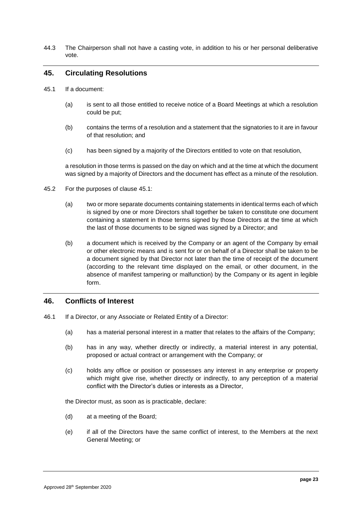44.3 The Chairperson shall not have a casting vote, in addition to his or her personal deliberative vote.

# **45. Circulating Resolutions**

- <span id="page-25-0"></span>45.1 If a document:
	- (a) is sent to all those entitled to receive notice of a Board Meetings at which a resolution could be put;
	- (b) contains the terms of a resolution and a statement that the signatories to it are in favour of that resolution; and
	- (c) has been signed by a majority of the Directors entitled to vote on that resolution,

a resolution in those terms is passed on the day on which and at the time at which the document was signed by a majority of Directors and the document has effect as a minute of the resolution.

- 45.2 For the purposes of clause [45.1:](#page-25-0)
	- (a) two or more separate documents containing statements in identical terms each of which is signed by one or more Directors shall together be taken to constitute one document containing a statement in those terms signed by those Directors at the time at which the last of those documents to be signed was signed by a Director; and
	- (b) a document which is received by the Company or an agent of the Company by email or other electronic means and is sent for or on behalf of a Director shall be taken to be a document signed by that Director not later than the time of receipt of the document (according to the relevant time displayed on the email, or other document, in the absence of manifest tampering or malfunction) by the Company or its agent in legible form.

#### **46. Conflicts of Interest**

- <span id="page-25-1"></span>46.1 If a Director, or any Associate or Related Entity of a Director:
	- (a) has a material personal interest in a matter that relates to the affairs of the Company;
	- (b) has in any way, whether directly or indirectly, a material interest in any potential, proposed or actual contract or arrangement with the Company; or
	- (c) holds any office or position or possesses any interest in any enterprise or property which might give rise, whether directly or indirectly, to any perception of a material conflict with the Director's duties or interests as a Director,

the Director must, as soon as is practicable, declare:

- (d) at a meeting of the Board;
- (e) if all of the Directors have the same conflict of interest, to the Members at the next General Meeting; or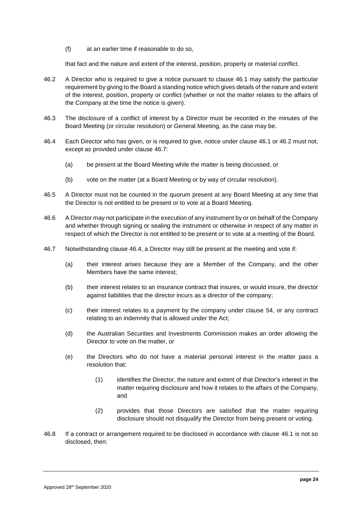(f) at an earlier time if reasonable to do so,

that fact and the nature and extent of the interest, position, property or material conflict.

- <span id="page-26-0"></span>46.2 A Director who is required to give a notice pursuant to clause [46.1](#page-25-1) may satisfy the particular requirement by giving to the Board a standing notice which gives details of the nature and extent of the interest, position, property or conflict (whether or not the matter relates to the affairs of the Company at the time the notice is given).
- 46.3 The disclosure of a conflict of interest by a Director must be recorded in the minutes of the Board Meeting (or circular resolution) or General Meeting, as the case may be.
- <span id="page-26-2"></span>46.4 Each Director who has given, or is required to give, notice under clause [46.1](#page-25-1) or [46.2](#page-26-0) must not, except as provided under clause [46.7:](#page-26-1)
	- (a) be present at the Board Meeting while the matter is being discussed, or
	- (b) vote on the matter (at a Board Meeting or by way of circular resolution).
- 46.5 A Director must not be counted in the quorum present at any Board Meeting at any time that the Director is not entitled to be present or to vote at a Board Meeting.
- 46.6 A Director may not participate in the execution of any instrument by or on behalf of the Company and whether through signing or sealing the instrument or otherwise in respect of any matter in respect of which the Director is not entitled to be present or to vote at a meeting of the Board.
- <span id="page-26-1"></span>46.7 Notwithstanding clause [46.4,](#page-26-2) a Director may still be present at the meeting and vote if:
	- (a) their interest arises because they are a Member of the Company, and the other Members have the same interest;
	- (b) their interest relates to an insurance contract that insures, or would insure, the director against liabilities that the director incurs as a director of the company;
	- (c) their interest relates to a payment by the company under clause [54,](#page-30-0) or any contract relating to an indemnity that is allowed under the Act;
	- (d) the Australian Securities and Investments Commission makes an order allowing the Director to vote on the matter, or
	- (e) the Directors who do not have a material personal interest in the matter pass a resolution that:
		- (1) identifies the Director, the nature and extent of that Director's interest in the matter requiring disclosure and how it relates to the affairs of the Company, and
		- (2) provides that those Directors are satisfied that the matter requiring disclosure should not disqualify the Director from being present or voting.
- 46.8 If a contract or arrangement required to be disclosed in accordance with clause [46.1](#page-25-1) is not so disclosed, then: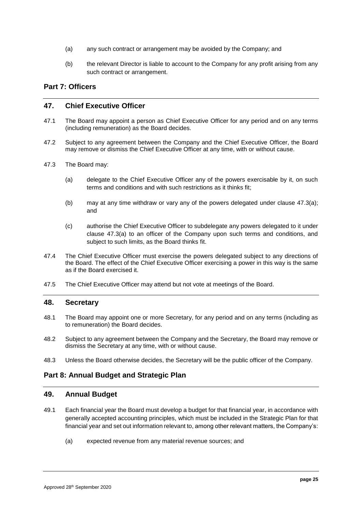- (a) any such contract or arrangement may be avoided by the Company; and
- (b) the relevant Director is liable to account to the Company for any profit arising from any such contract or arrangement.

# **Part 7: Officers**

#### **47. Chief Executive Officer**

- <span id="page-27-1"></span>47.1 The Board may appoint a person as Chief Executive Officer for any period and on any terms (including remuneration) as the Board decides.
- 47.2 Subject to any agreement between the Company and the Chief Executive Officer, the Board may remove or dismiss the Chief Executive Officer at any time, with or without cause.
- <span id="page-27-3"></span>47.3 The Board may:
	- (a) delegate to the Chief Executive Officer any of the powers exercisable by it, on such terms and conditions and with such restrictions as it thinks fit;
	- (b) may at any time withdraw or vary any of the powers delegated under clause [47.3\(a\);](#page-27-3) and
	- (c) authorise the Chief Executive Officer to subdelegate any powers delegated to it under clause [47.3\(a\)](#page-27-3) to an officer of the Company upon such terms and conditions, and subject to such limits, as the Board thinks fit.
- 47.4 The Chief Executive Officer must exercise the powers delegated subject to any directions of the Board. The effect of the Chief Executive Officer exercising a power in this way is the same as if the Board exercised it.
- 47.5 The Chief Executive Officer may attend but not vote at meetings of the Board.

#### <span id="page-27-2"></span>**48. Secretary**

- 48.1 The Board may appoint one or more Secretary, for any period and on any terms (including as to remuneration) the Board decides.
- 48.2 Subject to any agreement between the Company and the Secretary, the Board may remove or dismiss the Secretary at any time, with or without cause.
- 48.3 Unless the Board otherwise decides, the Secretary will be the public officer of the Company.

# **Part 8: Annual Budget and Strategic Plan**

#### <span id="page-27-0"></span>**49. Annual Budget**

- 49.1 Each financial year the Board must develop a budget for that financial year, in accordance with generally accepted accounting principles, which must be included in the Strategic Plan for that financial year and set out information relevant to, among other relevant matters, the Company's:
	- (a) expected revenue from any material revenue sources; and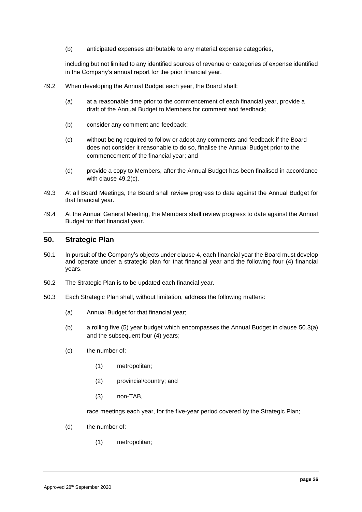(b) anticipated expenses attributable to any material expense categories,

including but not limited to any identified sources of revenue or categories of expense identified in the Company's annual report for the prior financial year.

- <span id="page-28-3"></span>49.2 When developing the Annual Budget each year, the Board shall:
	- (a) at a reasonable time prior to the commencement of each financial year, provide a draft of the Annual Budget to Members for comment and feedback;
	- (b) consider any comment and feedback;
	- (c) without being required to follow or adopt any comments and feedback if the Board does not consider it reasonable to do so, finalise the Annual Budget prior to the commencement of the financial year; and
	- (d) provide a copy to Members, after the Annual Budget has been finalised in accordance with clause [49.2\(c\).](#page-28-3)
- <span id="page-28-2"></span>49.3 At all Board Meetings, the Board shall review progress to date against the Annual Budget for that financial year.
- <span id="page-28-1"></span>49.4 At the Annual General Meeting, the Members shall review progress to date against the Annual Budget for that financial year.

#### <span id="page-28-0"></span>**50. Strategic Plan**

- 50.1 In pursuit of the Company's objects under clause [4,](#page-3-0) each financial year the Board must develop and operate under a strategic plan for that financial year and the following four (4) financial years.
- 50.2 The Strategic Plan is to be updated each financial year.
- <span id="page-28-5"></span><span id="page-28-4"></span>50.3 Each Strategic Plan shall, without limitation, address the following matters:
	- (a) Annual Budget for that financial year;
	- (b) a rolling five (5) year budget which encompasses the Annual Budget in clause [50.3\(a\)](#page-28-4) and the subsequent four (4) years;
	- (c) the number of:
		- (1) metropolitan;
		- (2) provincial/country; and
		- (3) non-TAB,

race meetings each year, for the five-year period covered by the Strategic Plan;

- (d) the number of:
	- (1) metropolitan;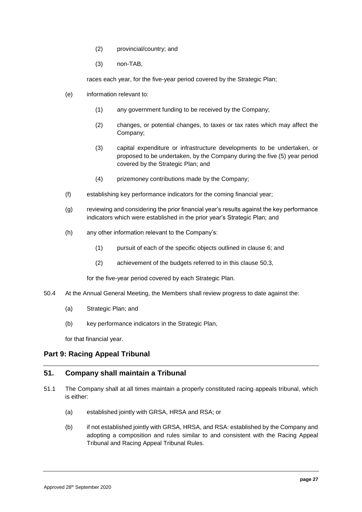- (2) provincial/country; and
- (3) non-TAB,

races each year, for the five-year period covered by the Strategic Plan;

- (e) information relevant to:
	- (1) any government funding to be received by the Company;
	- (2) changes, or potential changes, to taxes or tax rates which may affect the Company;
	- (3) capital expenditure or infrastructure developments to be undertaken, or proposed to be undertaken, by the Company during the five (5) year period covered by the Strategic Plan; and
	- (4) prizemoney contributions made by the Company;
- (f) establishing key performance indicators for the coming financial year;
- (g) reviewing and considering the prior financial year's results against the key performance indicators which were established in the prior year's Strategic Plan; and
- (h) any other information relevant to the Company's:
	- (1) pursuit of each of the specific objects outlined in clause [6;](#page-5-1) and
	- (2) achievement of the budgets referred to in this clause [50.3,](#page-28-5)

for the five-year period covered by each Strategic Plan.

- <span id="page-29-0"></span>50.4 At the Annual General Meeting, the Members shall review progress to date against the:
	- (a) Strategic Plan; and
	- (b) key performance indicators in the Strategic Plan,

for that financial year.

# **Part 9: Racing Appeal Tribunal**

#### **51. Company shall maintain a Tribunal**

- 51.1 The Company shall at all times maintain a properly constituted racing appeals tribunal, which is either:
	- (a) established jointly with GRSA, HRSA and RSA; or
	- (b) if not established jointly with GRSA, HRSA, and RSA: established by the Company and adopting a composition and rules similar to and consistent with the Racing Appeal Tribunal and Racing Appeal Tribunal Rules.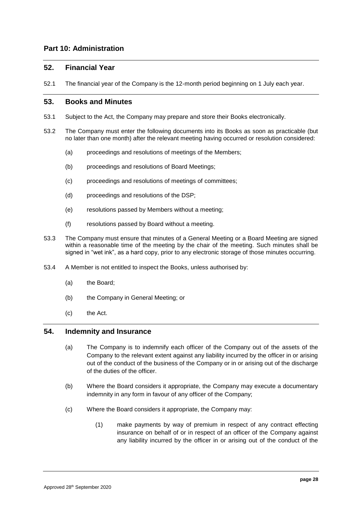# **Part 10: Administration**

## **52. Financial Year**

52.1 The financial year of the Company is the 12-month period beginning on 1 July each year.

# **53. Books and Minutes**

- 53.1 Subject to the Act, the Company may prepare and store their Books electronically.
- 53.2 The Company must enter the following documents into its Books as soon as practicable (but no later than one month) after the relevant meeting having occurred or resolution considered:
	- (a) proceedings and resolutions of meetings of the Members;
	- (b) proceedings and resolutions of Board Meetings;
	- (c) proceedings and resolutions of meetings of committees;
	- (d) proceedings and resolutions of the DSP;
	- (e) resolutions passed by Members without a meeting;
	- (f) resolutions passed by Board without a meeting.
- 53.3 The Company must ensure that minutes of a General Meeting or a Board Meeting are signed within a reasonable time of the meeting by the chair of the meeting. Such minutes shall be signed in "wet ink", as a hard copy, prior to any electronic storage of those minutes occurring.
- 53.4 A Member is not entitled to inspect the Books, unless authorised by:
	- (a) the Board;
	- (b) the Company in General Meeting; or
	- (c) the Act.

# <span id="page-30-0"></span>**54. Indemnity and Insurance**

- (a) The Company is to indemnify each officer of the Company out of the assets of the Company to the relevant extent against any liability incurred by the officer in or arising out of the conduct of the business of the Company or in or arising out of the discharge of the duties of the officer.
- (b) Where the Board considers it appropriate, the Company may execute a documentary indemnity in any form in favour of any officer of the Company;
- (c) Where the Board considers it appropriate, the Company may:
	- (1) make payments by way of premium in respect of any contract effecting insurance on behalf of or in respect of an officer of the Company against any liability incurred by the officer in or arising out of the conduct of the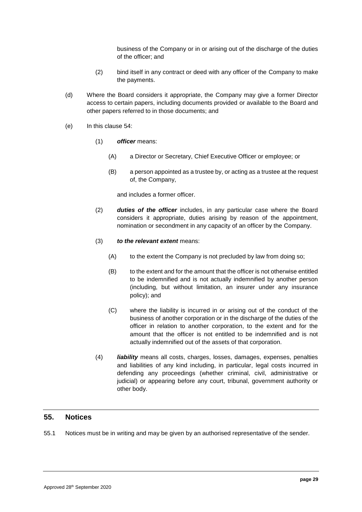business of the Company or in or arising out of the discharge of the duties of the officer; and

- (2) bind itself in any contract or deed with any officer of the Company to make the payments.
- (d) Where the Board considers it appropriate, the Company may give a former Director access to certain papers, including documents provided or available to the Board and other papers referred to in those documents; and
- (e) In this clause [54:](#page-30-0)
	- (1) *officer* means:
		- (A) a Director or Secretary, Chief Executive Officer or employee; or
		- (B) a person appointed as a trustee by, or acting as a trustee at the request of, the Company,

and includes a former officer.

- (2) *duties of the officer* includes, in any particular case where the Board considers it appropriate, duties arising by reason of the appointment, nomination or secondment in any capacity of an officer by the Company.
- (3) *to the relevant extent* means:
	- (A) to the extent the Company is not precluded by law from doing so;
	- (B) to the extent and for the amount that the officer is not otherwise entitled to be indemnified and is not actually indemnified by another person (including, but without limitation, an insurer under any insurance policy); and
	- (C) where the liability is incurred in or arising out of the conduct of the business of another corporation or in the discharge of the duties of the officer in relation to another corporation, to the extent and for the amount that the officer is not entitled to be indemnified and is not actually indemnified out of the assets of that corporation.
- (4) *liability* means all costs, charges, losses, damages, expenses, penalties and liabilities of any kind including, in particular, legal costs incurred in defending any proceedings (whether criminal, civil, administrative or judicial) or appearing before any court, tribunal, government authority or other body.

# **55. Notices**

55.1 Notices must be in writing and may be given by an authorised representative of the sender.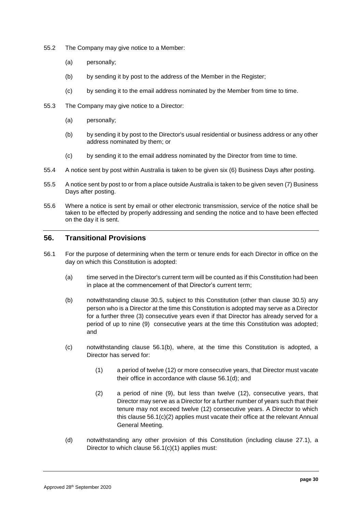- 55.2 The Company may give notice to a Member:
	- (a) personally;
	- (b) by sending it by post to the address of the Member in the Register;
	- (c) by sending it to the email address nominated by the Member from time to time.
- 55.3 The Company may give notice to a Director:
	- (a) personally;
	- (b) by sending it by post to the Director's usual residential or business address or any other address nominated by them; or
	- (c) by sending it to the email address nominated by the Director from time to time.
- 55.4 A notice sent by post within Australia is taken to be given six (6) Business Days after posting.
- 55.5 A notice sent by post to or from a place outside Australia is taken to be given seven (7) Business Days after posting.
- 55.6 Where a notice is sent by email or other electronic transmission, service of the notice shall be taken to be effected by properly addressing and sending the notice and to have been effected on the day it is sent.

## <span id="page-32-4"></span>**56. Transitional Provisions**

- <span id="page-32-3"></span><span id="page-32-2"></span><span id="page-32-1"></span><span id="page-32-0"></span>56.1 For the purpose of determining when the term or tenure ends for each Director in office on the day on which this Constitution is adopted:
	- (a) time served in the Director's current term will be counted as if this Constitution had been in place at the commencement of that Director's current term;
	- (b) notwithstanding clause [30.5,](#page-19-6) subject to this Constitution (other than clause [30.5\)](#page-19-6) any person who is a Director at the time this Constitution is adopted may serve as a Director for a further three (3) consecutive years even if that Director has already served for a period of up to nine (9) consecutive years at the time this Constitution was adopted; and
	- (c) notwithstanding clause [56.1\(b\),](#page-32-0) where, at the time this Constitution is adopted, a Director has served for:
		- (1) a period of twelve (12) or more consecutive years, that Director must vacate their office in accordance with clause [56.1\(d\);](#page-32-1) and
		- (2) a period of nine (9), but less than twelve (12), consecutive years, that Director may serve as a Director for a further number of years such that their tenure may not exceed twelve (12) consecutive years. A Director to which this clause [56.1\(c\)\(2\)](#page-32-2) applies must vacate their office at the relevant Annual General Meeting.
	- (d) notwithstanding any other provision of this Constitution (including clause [27.1\)](#page-16-3), a Director to which clause [56.1\(c\)\(1\)](#page-32-3) applies must: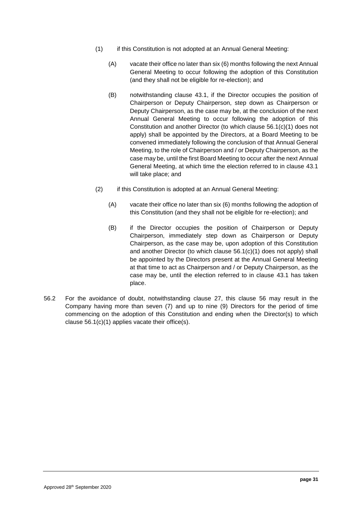- (1) if this Constitution is not adopted at an Annual General Meeting:
	- (A) vacate their office no later than six (6) months following the next Annual General Meeting to occur following the adoption of this Constitution (and they shall not be eligible for re-election); and
	- (B) notwithstanding clause [43.1,](#page-24-1) if the Director occupies the position of Chairperson or Deputy Chairperson, step down as Chairperson or Deputy Chairperson, as the case may be, at the conclusion of the next Annual General Meeting to occur following the adoption of this Constitution and another Director (to which clause [56.1\(c\)\(1\)](#page-32-3) does not apply) shall be appointed by the Directors, at a Board Meeting to be convened immediately following the conclusion of that Annual General Meeting, to the role of Chairperson and / or Deputy Chairperson, as the case may be, until the first Board Meeting to occur after the next Annual General Meeting, at which time the election referred to in clause [43.1](#page-24-1) will take place; and
- (2) if this Constitution is adopted at an Annual General Meeting:
	- (A) vacate their office no later than six (6) months following the adoption of this Constitution (and they shall not be eligible for re-election); and
	- (B) if the Director occupies the position of Chairperson or Deputy Chairperson, immediately step down as Chairperson or Deputy Chairperson, as the case may be, upon adoption of this Constitution and another Director (to which clause [56.1\(c\)\(1\)](#page-32-3) does not apply) shall be appointed by the Directors present at the Annual General Meeting at that time to act as Chairperson and / or Deputy Chairperson, as the case may be, until the election referred to in clause [43.1](#page-24-1) has taken place.
- 56.2 For the avoidance of doubt, notwithstanding clause [27,](#page-16-2) this clause [56](#page-32-4) may result in the Company having more than seven (7) and up to nine (9) Directors for the period of time commencing on the adoption of this Constitution and ending when the Director(s) to which clause [56.1\(c\)\(1\)](#page-32-3) applies vacate their office(s).